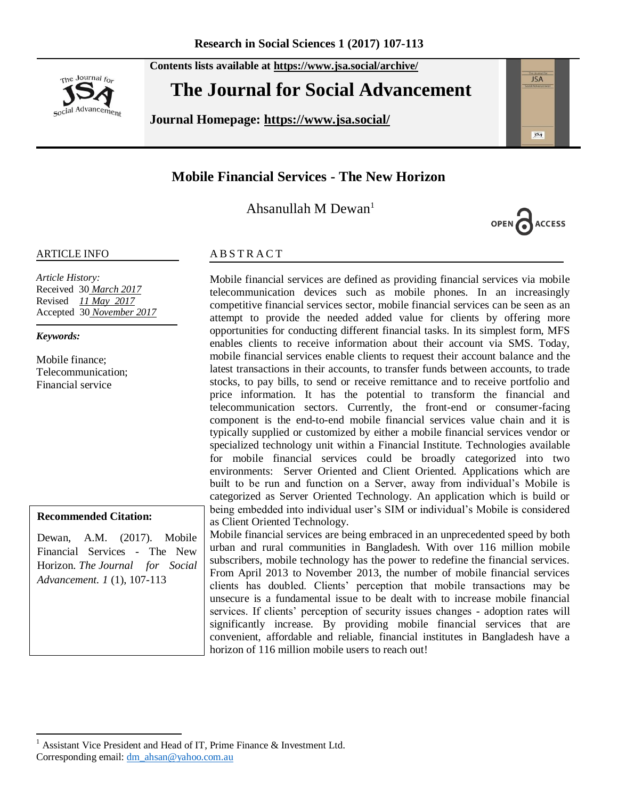The Journal for social Advancement **Contents lists available at <https://www.jsa.social/archive/>**

# **The Journal for Social Advancement**

**Journal Homepage: <https://www.jsa.social/>**



**ACCESS** 

# **Mobile Financial Services - The New Horizon**

Ahsanullah M Dewan<sup>1</sup>

#### ARTICLE INFO

*Article History:*  Received 30 *March 2017* Revised *11 May 2017* Accepted 30 *November 2017*

*Keywords:* 

Mobile finance; Telecommunication; Financial service

#### **Recommended Citation:**

Dewan, A.M. (2017). Mobile Financial Services - The New Horizon. *The Journal for Social Advancement. 1* (1), 107-113

#### **ABSTRACT**

Mobile financial services are defined as providing financial services via mobile telecommunication devices such as mobile phones. In an increasingly competitive financial services sector, mobile financial services can be seen as an attempt to provide the needed added value for clients by offering more opportunities for conducting different financial tasks. In its simplest form, MFS enables clients to receive information about their account via SMS. Today, mobile financial services enable clients to request their account balance and the latest transactions in their accounts, to transfer funds between accounts, to trade stocks, to pay bills, to send or receive remittance and to receive portfolio and price information. It has the potential to transform the financial and telecommunication sectors. Currently, the front-end or consumer-facing component is the end-to-end mobile financial services value chain and it is typically supplied or customized by either a mobile financial services vendor or specialized technology unit within a Financial Institute. Technologies available for mobile financial services could be broadly categorized into two environments: Server Oriented and Client Oriented. Applications which are built to be run and function on a Server, away from individual"s Mobile is categorized as Server Oriented Technology. An application which is build or being embedded into individual user"s SIM or individual"s Mobile is considered as Client Oriented Technology.

Mobile financial services are being embraced in an unprecedented speed by both urban and rural communities in Bangladesh. With over 116 million mobile subscribers, mobile technology has the power to redefine the financial services. From April 2013 to November 2013, the number of mobile financial services clients has doubled. Clients" perception that mobile transactions may be unsecure is a fundamental issue to be dealt with to increase mobile financial services. If clients' perception of security issues changes - adoption rates will significantly increase. By providing mobile financial services that are convenient, affordable and reliable, financial institutes in Bangladesh have a horizon of 116 million mobile users to reach out!

 $\overline{a}$ <sup>1</sup> Assistant Vice President and Head of IT, Prime Finance & Investment Ltd. Corresponding email[: dm\\_ahsan@yahoo.com.au](mailto:dm_ahsan@yahoo.com.au)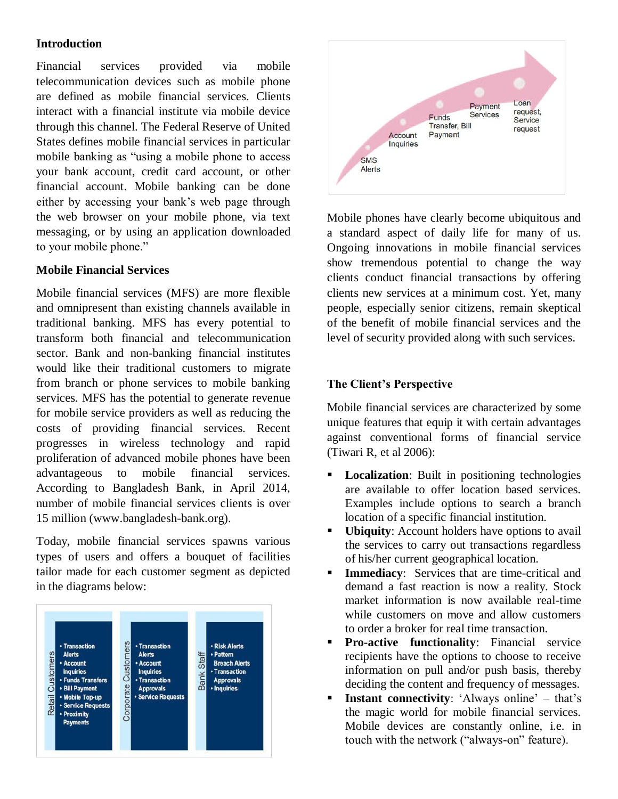### **Introduction**

Financial services provided via mobile telecommunication devices such as mobile phone are defined as mobile financial services. Clients interact with a financial institute via mobile device through this channel. The Federal Reserve of United States defines mobile financial services in particular mobile banking as "using a mobile phone to access your bank account, credit card account, or other financial account. Mobile banking can be done either by accessing your bank"s web page through the web browser on your mobile phone, via text messaging, or by using an application downloaded to your mobile phone."

#### **Mobile Financial Services**

Mobile financial services (MFS) are more flexible and omnipresent than existing channels available in traditional banking. MFS has every potential to transform both financial and telecommunication sector. Bank and non-banking financial institutes would like their traditional customers to migrate from branch or phone services to mobile banking services. MFS has the potential to generate revenue for mobile service providers as well as reducing the costs of providing financial services. Recent progresses in wireless technology and rapid proliferation of advanced mobile phones have been advantageous to mobile financial services. According to Bangladesh Bank, in April 2014, number of mobile financial services clients is over 15 million (www.bangladesh-bank.org).

Today, mobile financial services spawns various types of users and offers a bouquet of facilities tailor made for each customer segment as depicted in the diagrams below:





Mobile phones have clearly become ubiquitous and a standard aspect of daily life for many of us. Ongoing innovations in mobile financial services show tremendous potential to change the way clients conduct financial transactions by offering clients new services at a minimum cost. Yet, many people, especially senior citizens, remain skeptical of the benefit of mobile financial services and the level of security provided along with such services.

# **The Client's Perspective**

Mobile financial services are characterized by some unique features that equip it with certain advantages against conventional forms of financial service (Tiwari R, et al 2006):

- **Localization:** Built in positioning technologies are available to offer location based services. Examples include options to search a branch location of a specific financial institution.
- **Ubiquity:** Account holders have options to avail the services to carry out transactions regardless of his/her current geographical location.
- **Immediacy:** Services that are time-critical and demand a fast reaction is now a reality. Stock market information is now available real-time while customers on move and allow customers to order a broker for real time transaction.
- **Pro-active functionality:** Financial service recipients have the options to choose to receive information on pull and/or push basis, thereby deciding the content and frequency of messages.
- **Instant connectivity:** 'Always online' that's the magic world for mobile financial services. Mobile devices are constantly online, i.e. in touch with the network ("always-on" feature).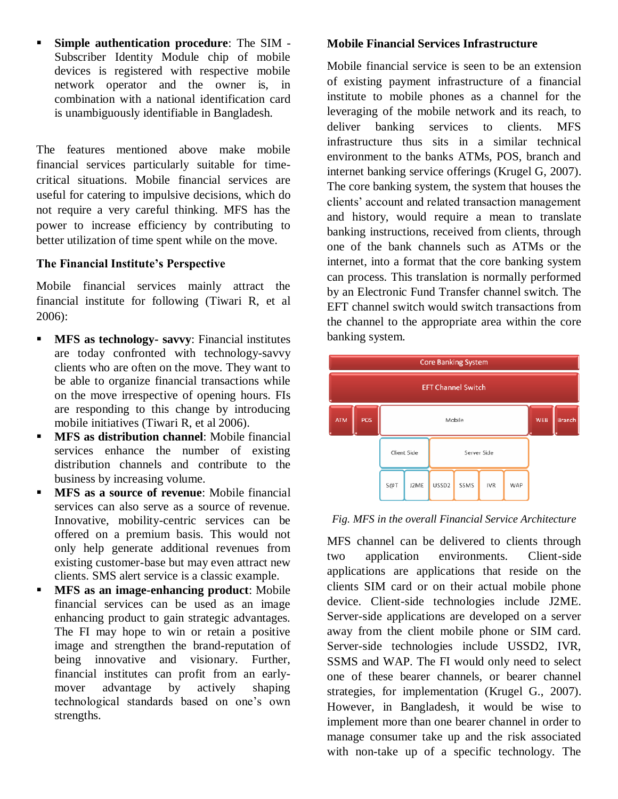**Simple authentication procedure**: The SIM - Subscriber Identity Module chip of mobile devices is registered with respective mobile network operator and the owner is, in combination with a national identification card is unambiguously identifiable in Bangladesh.

The features mentioned above make mobile financial services particularly suitable for timecritical situations. Mobile financial services are useful for catering to impulsive decisions, which do not require a very careful thinking. MFS has the power to increase efficiency by contributing to better utilization of time spent while on the move.

#### **The Financial Institute's Perspective**

Mobile financial services mainly attract the financial institute for following (Tiwari R, et al 2006):

- **MFS as technology- savvy**: Financial institutes are today confronted with technology-savvy clients who are often on the move. They want to be able to organize financial transactions while on the move irrespective of opening hours. FIs are responding to this change by introducing mobile initiatives (Tiwari R, et al 2006).
- **MFS as distribution channel**: Mobile financial services enhance the number of existing distribution channels and contribute to the business by increasing volume.
- **MFS as a source of revenue**: Mobile financial services can also serve as a source of revenue. Innovative, mobility-centric services can be offered on a premium basis. This would not only help generate additional revenues from existing customer-base but may even attract new clients. SMS alert service is a classic example.
- **MFS** as an image-enhancing product: Mobile financial services can be used as an image enhancing product to gain strategic advantages. The FI may hope to win or retain a positive image and strengthen the brand-reputation of being innovative and visionary. Further, financial institutes can profit from an earlymover advantage by actively shaping technological standards based on one"s own strengths.

#### **Mobile Financial Services Infrastructure**

Mobile financial service is seen to be an extension of existing payment infrastructure of a financial institute to mobile phones as a channel for the leveraging of the mobile network and its reach, to deliver banking services to clients. MFS infrastructure thus sits in a similar technical environment to the banks ATMs, POS, branch and internet banking service offerings (Krugel G, 2007). The core banking system, the system that houses the clients" account and related transaction management and history, would require a mean to translate banking instructions, received from clients, through one of the bank channels such as ATMs or the internet, into a format that the core banking system can process. This translation is normally performed by an Electronic Fund Transfer channel switch. The EFT channel switch would switch transactions from the channel to the appropriate area within the core banking system.



#### *Fig. MFS in the overall Financial Service Architecture*

MFS channel can be delivered to clients through two application environments. Client-side applications are applications that reside on the clients SIM card or on their actual mobile phone device. Client-side technologies include J2ME. Server-side applications are developed on a server away from the client mobile phone or SIM card. Server-side technologies include USSD2, IVR, SSMS and WAP. The FI would only need to select one of these bearer channels, or bearer channel strategies, for implementation (Krugel G., 2007). However, in Bangladesh, it would be wise to implement more than one bearer channel in order to manage consumer take up and the risk associated with non-take up of a specific technology. The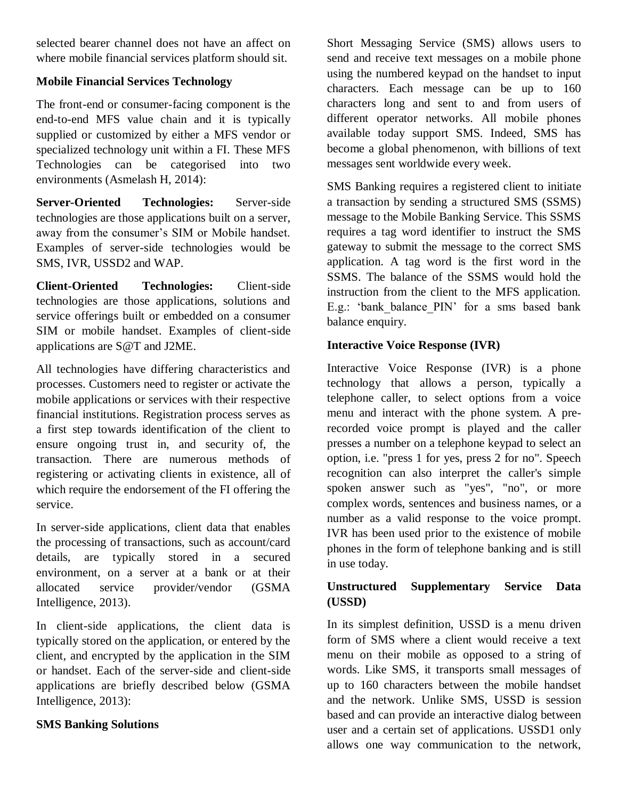selected bearer channel does not have an affect on where mobile financial services platform should sit.

# **Mobile Financial Services Technology**

The front-end or consumer-facing component is the end-to-end MFS value chain and it is typically supplied or customized by either a MFS vendor or specialized technology unit within a FI. These MFS Technologies can be categorised into two environments (Asmelash H, 2014):

**Server-Oriented Technologies:** Server-side technologies are those applications built on a server, away from the consumer's SIM or Mobile handset. Examples of server-side technologies would be SMS, IVR, USSD2 and WAP.

**Client-Oriented Technologies:** Client-side technologies are those applications, solutions and service offerings built or embedded on a consumer SIM or mobile handset. Examples of client-side applications are S@T and J2ME.

All technologies have differing characteristics and processes. Customers need to register or activate the mobile applications or services with their respective financial institutions. Registration process serves as a first step towards identification of the client to ensure ongoing trust in, and security of, the transaction. There are numerous methods of registering or activating clients in existence, all of which require the endorsement of the FI offering the service.

In server-side applications, client data that enables the processing of transactions, such as account/card details, are typically stored in a secured environment, on a server at a bank or at their allocated service provider/vendor (GSMA Intelligence, 2013).

In client-side applications, the client data is typically stored on the application, or entered by the client, and encrypted by the application in the SIM or handset. Each of the server-side and client-side applications are briefly described below (GSMA Intelligence, 2013):

# **SMS Banking Solutions**

Short Messaging Service (SMS) allows users to send and receive text messages on a mobile phone using the numbered keypad on the handset to input characters. Each message can be up to 160 characters long and sent to and from users of different operator networks. All mobile phones available today support SMS. Indeed, SMS has become a global phenomenon, with billions of text messages sent worldwide every week.

SMS Banking requires a registered client to initiate a transaction by sending a structured SMS (SSMS) message to the Mobile Banking Service. This SSMS requires a tag word identifier to instruct the SMS gateway to submit the message to the correct SMS application. A tag word is the first word in the SSMS. The balance of the SSMS would hold the instruction from the client to the MFS application. E.g.: 'bank balance PIN' for a sms based bank balance enquiry.

# **Interactive Voice Response (IVR)**

Interactive Voice Response (IVR) is a phone technology that allows a person, typically a telephone caller, to select options from a voice menu and interact with the phone system. A prerecorded voice prompt is played and the caller presses a number on a telephone keypad to select an option, i.e. "press 1 for yes, press 2 for no". Speech recognition can also interpret the caller's simple spoken answer such as "yes", "no", or more complex words, sentences and business names, or a number as a valid response to the voice prompt. IVR has been used prior to the existence of mobile phones in the form of telephone banking and is still in use today.

# **Unstructured Supplementary Service Data (USSD)**

In its simplest definition, USSD is a menu driven form of SMS where a client would receive a text menu on their mobile as opposed to a string of words. Like SMS, it transports small messages of up to 160 characters between the mobile handset and the network. Unlike SMS, USSD is session based and can provide an interactive dialog between user and a certain set of applications. USSD1 only allows one way communication to the network,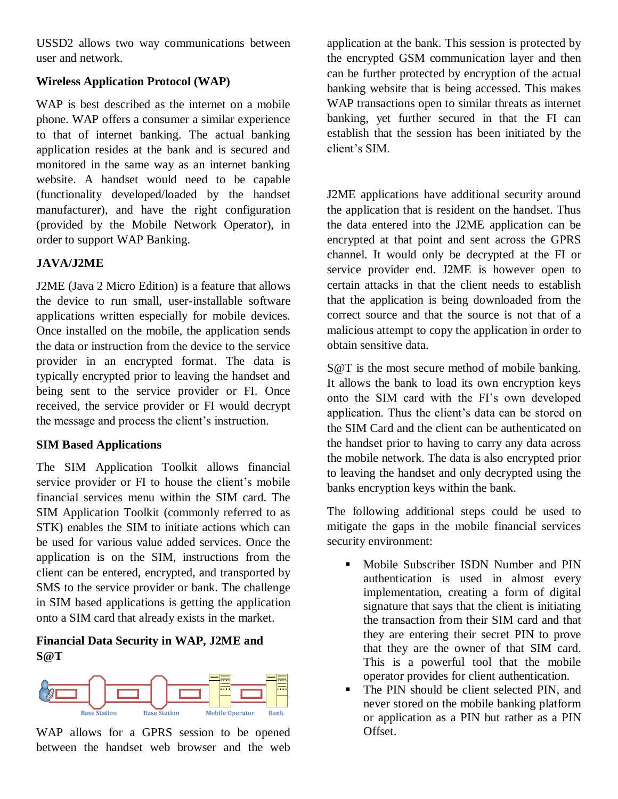USSD2 allows two way communications between user and network.

# **Wireless Application Protocol (WAP)**

WAP is best described as the internet on a mobile phone. WAP offers a consumer a similar experience to that of internet banking. The actual banking application resides at the bank and is secured and monitored in the same way as an internet banking website. A handset would need to be capable (functionality developed/loaded by the handset manufacturer), and have the right configuration (provided by the Mobile Network Operator), in order to support WAP Banking.

### **JAVA/J2ME**

J2ME (Java 2 Micro Edition) is a feature that allows the device to run small, user-installable software applications written especially for mobile devices. Once installed on the mobile, the application sends the data or instruction from the device to the service provider in an encrypted format. The data is typically encrypted prior to leaving the handset and being sent to the service provider or FI. Once received, the service provider or FI would decrypt the message and process the client's instruction.

### **SIM Based Applications**

The SIM Application Toolkit allows financial service provider or FI to house the client's mobile financial services menu within the SIM card. The SIM Application Toolkit (commonly referred to as STK) enables the SIM to initiate actions which can be used for various value added services. Once the application is on the SIM, instructions from the client can be entered, encrypted, and transported by SMS to the service provider or bank. The challenge in SIM based applications is getting the application onto a SIM card that already exists in the market.

# **Financial Data Security in WAP, J2ME and S@T**



WAP allows for a GPRS session to be opened between the handset web browser and the web

application at the bank. This session is protected by the encrypted GSM communication layer and then can be further protected by encryption of the actual banking website that is being accessed. This makes WAP transactions open to similar threats as internet banking, yet further secured in that the FI can establish that the session has been initiated by the client's SIM.

J2ME applications have additional security around the application that is resident on the handset. Thus the data entered into the J2ME application can be encrypted at that point and sent across the GPRS channel. It would only be decrypted at the FI or service provider end. J2ME is however open to certain attacks in that the client needs to establish that the application is being downloaded from the correct source and that the source is not that of a malicious attempt to copy the application in order to obtain sensitive data.

S@T is the most secure method of mobile banking. It allows the bank to load its own encryption keys onto the SIM card with the FI's own developed application. Thus the client's data can be stored on the SIM Card and the client can be authenticated on the handset prior to having to carry any data across the mobile network. The data is also encrypted prior to leaving the handset and only decrypted using the banks encryption keys within the bank.

The following additional steps could be used to mitigate the gaps in the mobile financial services security environment:

- **Mobile Subscriber ISDN Number and PIN** authentication is used in almost every implementation, creating a form of digital signature that says that the client is initiating the transaction from their SIM card and that they are entering their secret PIN to prove that they are the owner of that SIM card. This is a powerful tool that the mobile operator provides for client authentication.
- The PIN should be client selected PIN, and never stored on the mobile banking platform or application as a PIN but rather as a PIN Offset.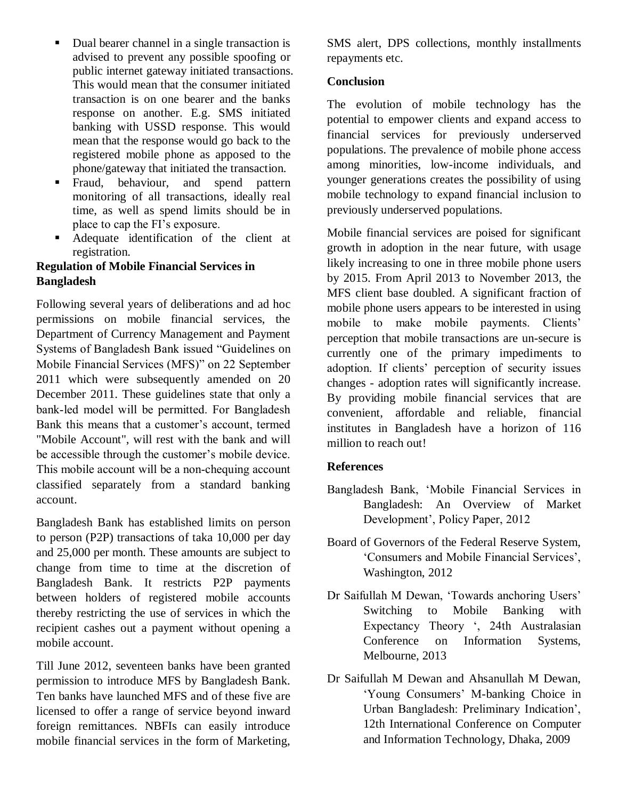- Dual bearer channel in a single transaction is advised to prevent any possible spoofing or public internet gateway initiated transactions. This would mean that the consumer initiated transaction is on one bearer and the banks response on another. E.g. SMS initiated banking with USSD response. This would mean that the response would go back to the registered mobile phone as apposed to the phone/gateway that initiated the transaction.
- Fraud, behaviour, and spend pattern monitoring of all transactions, ideally real time, as well as spend limits should be in place to cap the FI"s exposure.
- Adequate identification of the client at registration.

### **Regulation of Mobile Financial Services in Bangladesh**

Following several years of deliberations and ad hoc permissions on mobile financial services, the Department of Currency Management and Payment Systems of Bangladesh Bank issued "Guidelines on Mobile Financial Services (MFS)" on 22 September 2011 which were subsequently amended on 20 December 2011. These guidelines state that only a bank‐led model will be permitted. For Bangladesh Bank this means that a customer's account, termed "Mobile Account", will rest with the bank and will be accessible through the customer's mobile device. This mobile account will be a non-chequing account classified separately from a standard banking account.

Bangladesh Bank has established limits on person to person (P2P) transactions of taka 10,000 per day and 25,000 per month. These amounts are subject to change from time to time at the discretion of Bangladesh Bank. It restricts P2P payments between holders of registered mobile accounts thereby restricting the use of services in which the recipient cashes out a payment without opening a mobile account.

Till June 2012, seventeen banks have been granted permission to introduce MFS by Bangladesh Bank. Ten banks have launched MFS and of these five are licensed to offer a range of service beyond inward foreign remittances. NBFIs can easily introduce mobile financial services in the form of Marketing,

SMS alert, DPS collections, monthly installments repayments etc.

# **Conclusion**

The evolution of mobile technology has the potential to empower clients and expand access to financial services for previously underserved populations. The prevalence of mobile phone access among minorities, low-income individuals, and younger generations creates the possibility of using mobile technology to expand financial inclusion to previously underserved populations.

Mobile financial services are poised for significant growth in adoption in the near future, with usage likely increasing to one in three mobile phone users by 2015. From April 2013 to November 2013, the MFS client base doubled. A significant fraction of mobile phone users appears to be interested in using mobile to make mobile payments. Clients' perception that mobile transactions are un-secure is currently one of the primary impediments to adoption. If clients' perception of security issues changes - adoption rates will significantly increase. By providing mobile financial services that are convenient, affordable and reliable, financial institutes in Bangladesh have a horizon of 116 million to reach out!

# **References**

- Bangladesh Bank, "Mobile Financial Services in Bangladesh: An Overview of Market Development", Policy Paper, 2012
- Board of Governors of the Federal Reserve System, 'Consumers and Mobile Financial Services', Washington, 2012
- Dr Saifullah M Dewan, 'Towards anchoring Users' Switching to Mobile Banking with Expectancy Theory ', 24th Australasian Conference on Information Systems, Melbourne, 2013
- Dr Saifullah M Dewan and Ahsanullah M Dewan, "Young Consumers" M-banking Choice in Urban Bangladesh: Preliminary Indication", 12th International Conference on Computer and Information Technology, Dhaka, 2009